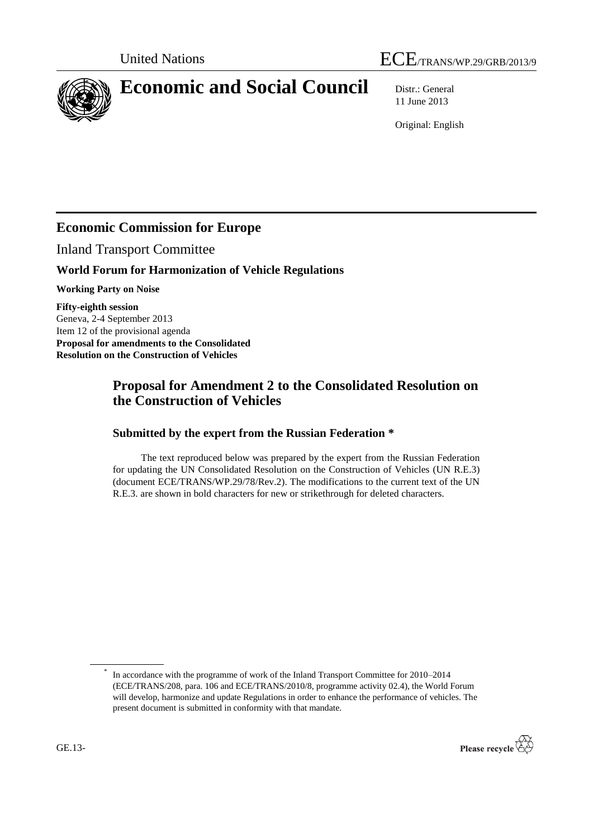



# **Economic and Social Council** Distr.: General

11 June 2013

Original: English

## **Economic Commission for Europe**

Inland Transport Committee

### **World Forum for Harmonization of Vehicle Regulations**

**Working Party on Noise**

**Fifty-eighth session** Geneva, 2-4 September 2013 Item 12 of the provisional agenda **Proposal for amendments to the Consolidated Resolution on the Construction of Vehicles**

### **Proposal for Amendment 2 to the Consolidated Resolution on the Construction of Vehicles**

#### **Submitted by the expert from the Russian Federation \***

The text reproduced below was prepared by the expert from the Russian Federation for updating the UN Consolidated Resolution on the Construction of Vehicles (UN R.E.3) (document ECE/TRANS/WP.29/78/Rev.2). The modifications to the current text of the UN R.E.3. are shown in bold characters for new or strikethrough for deleted characters.

<sup>\*</sup> In accordance with the programme of work of the Inland Transport Committee for 2010–2014 (ECE/TRANS/208, para. 106 and ECE/TRANS/2010/8, programme activity 02.4), the World Forum will develop, harmonize and update Regulations in order to enhance the performance of vehicles. The present document is submitted in conformity with that mandate.

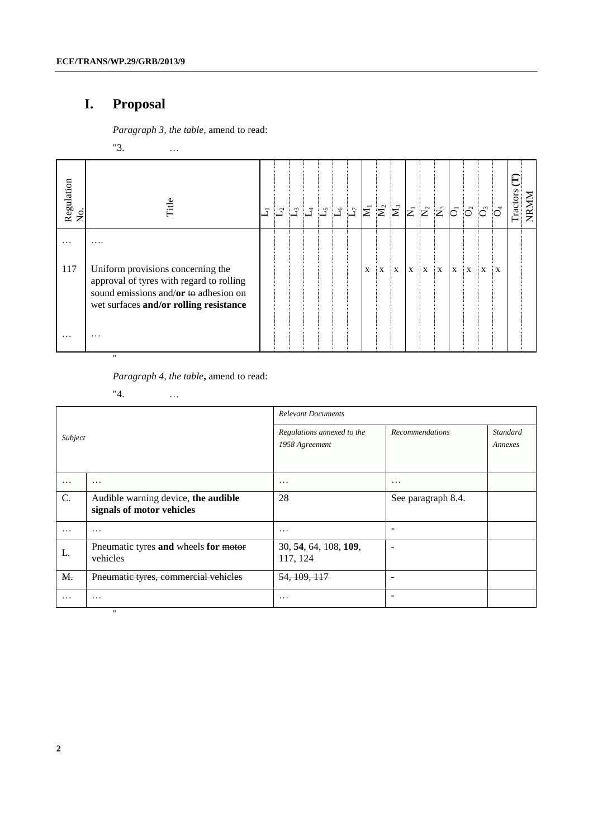## **I. Proposal**

*Paragraph 3, the table*, amend to read:

"3. …

| Regulation<br>No. | Title                                                                                                                                                                      | $\overline{\mathbf{I}}$ | $L^2$ |  |  | $\begin{array}{ c c c }\hline \rule{0pt}{12pt} \rule{0pt}{2pt} \rule{0pt}{2pt} \rule{0pt}{2pt} \rule{0pt}{2pt} \rule{0pt}{2pt} \rule{0pt}{2pt} \rule{0pt}{2pt} \rule{0pt}{2pt} \rule{0pt}{2pt} \rule{0pt}{2pt} \rule{0pt}{2pt} \rule{0pt}{2pt} \rule{0pt}{2pt} \rule{0pt}{2pt} \rule{0pt}{2pt} \rule{0pt}{2pt} \rule{0pt}{2pt} \rule{0pt}{2pt} \rule{0pt}{2pt} \rule{0pt}{2pt} \rule{0pt}{2pt} \rule{0pt}{$ |   |   | $\mathbf{N}_3$ |                           | $\bar{z}$ $\bar{z}$ $\bar{z}$ |    |             | $\overline{0}$ $\overline{0}$ $\overline{0}$ $\overline{0}$ $\overline{0}$ |   |    | Tractors | NRMM |
|-------------------|----------------------------------------------------------------------------------------------------------------------------------------------------------------------------|-------------------------|-------|--|--|-------------------------------------------------------------------------------------------------------------------------------------------------------------------------------------------------------------------------------------------------------------------------------------------------------------------------------------------------------------------------------------------------------------|---|---|----------------|---------------------------|-------------------------------|----|-------------|----------------------------------------------------------------------------|---|----|----------|------|
| .<br>117<br>.     | .<br>Uniform provisions concerning the<br>approval of tyres with regard to rolling<br>sound emissions and/or to adhesion on<br>wet surfaces and/or rolling resistance<br>. |                         |       |  |  |                                                                                                                                                                                                                                                                                                                                                                                                             | X | X | X              | $\boldsymbol{\mathrm{X}}$ | İΧ                            | ļΧ | $\mathbf X$ | X                                                                          | X | ĮΧ |          |      |

*Paragraph 4, the table***,** amend to read:

"4. …

| Subject  |                                                                  | <b>Relevant Documents</b>                    |                              |                     |  |  |  |  |  |  |
|----------|------------------------------------------------------------------|----------------------------------------------|------------------------------|---------------------|--|--|--|--|--|--|
|          |                                                                  | Regulations annexed to the<br>1958 Agreement | <b>Recommendations</b>       | Standard<br>Annexes |  |  |  |  |  |  |
| .        | $\cdots$                                                         | $\cdots$                                     | $\cdot$                      |                     |  |  |  |  |  |  |
| C.       | Audible warning device, the audible<br>signals of motor vehicles | 28                                           | See paragraph 8.4.           |                     |  |  |  |  |  |  |
| $\cdots$ | $\cdots$                                                         | .                                            | $\qquad \qquad \blacksquare$ |                     |  |  |  |  |  |  |
| L.       | Pneumatic tyres and wheels for motor<br>vehicles                 | 30, 54, 64, 108, 109,<br>117, 124            |                              |                     |  |  |  |  |  |  |
| M.       | Pneumatic tyres, commercial vehicles                             | 54, 109, 117                                 | $\overline{\phantom{0}}$     |                     |  |  |  |  |  |  |
| $\cdots$ | $\cdots$                                                         | $\cdots$                                     |                              |                     |  |  |  |  |  |  |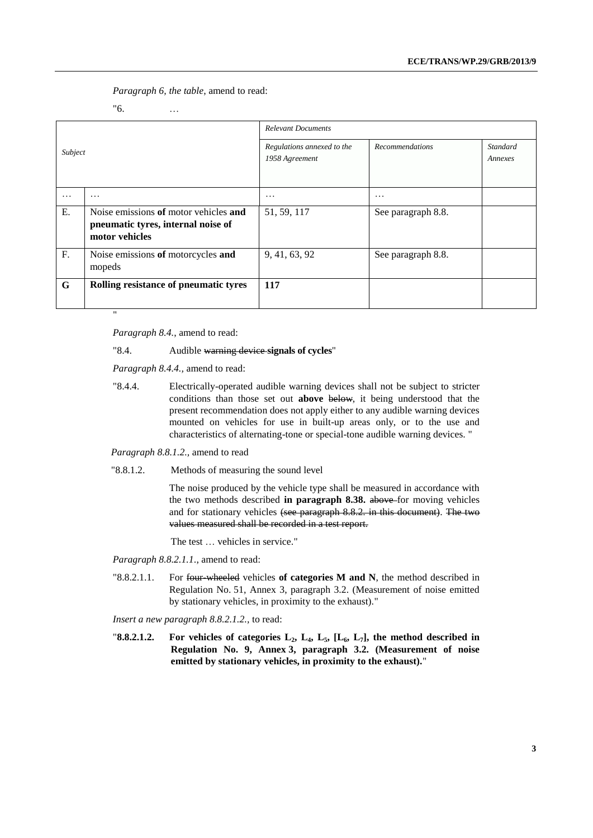*Paragraph 6, the table*, amend to read:

"6. …

|                |                                                                                               | <b>Relevant Documents</b>                    |                        |                            |  |  |  |  |  |  |
|----------------|-----------------------------------------------------------------------------------------------|----------------------------------------------|------------------------|----------------------------|--|--|--|--|--|--|
| Subject        |                                                                                               | Regulations annexed to the<br>1958 Agreement | <b>Recommendations</b> | <b>Standard</b><br>Annexes |  |  |  |  |  |  |
| $\cdots$       | .                                                                                             | .                                            | $\cdot$                |                            |  |  |  |  |  |  |
| E.             | Noise emissions of motor vehicles and<br>pneumatic tyres, internal noise of<br>motor vehicles | 51, 59, 117                                  | See paragraph 8.8.     |                            |  |  |  |  |  |  |
| F <sub>r</sub> | Noise emissions of motorcycles and<br>mopeds                                                  | 9, 41, 63, 92                                | See paragraph 8.8.     |                            |  |  |  |  |  |  |
| G              | Rolling resistance of pneumatic tyres                                                         | 117                                          |                        |                            |  |  |  |  |  |  |

*Paragraph 8.4.*, amend to read:

#### "8.4. Audible warning device **signals of cycles**"

*Paragraph 8.4.4.,* amend to read:

"8.4.4. Electrically-operated audible warning devices shall not be subject to stricter conditions than those set out **above** below, it being understood that the present recommendation does not apply either to any audible warning devices mounted on vehicles for use in built-up areas only, or to the use and characteristics of alternating-tone or special-tone audible warning devices. "

#### *Paragraph 8.8.1.2.,* amend to read

"8.8.1.2. Methods of measuring the sound level

The noise produced by the vehicle type shall be measured in accordance with the two methods described **in paragraph 8.38.** above for moving vehicles and for stationary vehicles (see paragraph 8.8.2. in this document). The two values measured shall be recorded in a test report.

The test … vehicles in service."

*Paragraph 8.8.2.1.1*., amend to read:

"8.8.2.1.1. For four-wheeled vehicles **of categories M and N**, the method described in Regulation No. 51, Annex 3, paragraph 3.2. (Measurement of noise emitted by stationary vehicles, in proximity to the exhaust)."

*Insert a new paragraph 8.8.2.1.2.,* to read:

"**8.8.2.1.2. For vehicles of categories L2, L4, L5, [L6, L7], the method described in Regulation No. 9, Annex 3, paragraph 3.2. (Measurement of noise emitted by stationary vehicles, in proximity to the exhaust).**"